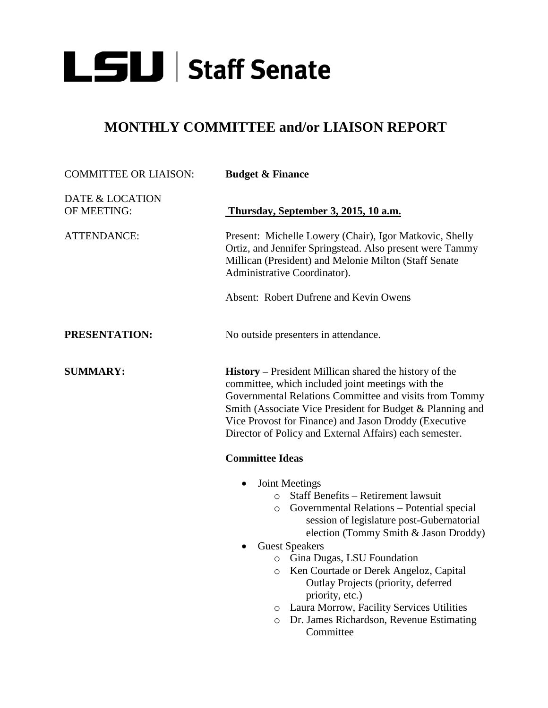

## **MONTHLY COMMITTEE and/or LIAISON REPORT**

| <b>COMMITTEE OR LIAISON:</b>   | <b>Budget &amp; Finance</b>                                                                                                                                                                                                                                                                                                                                                                                                                                                                                             |
|--------------------------------|-------------------------------------------------------------------------------------------------------------------------------------------------------------------------------------------------------------------------------------------------------------------------------------------------------------------------------------------------------------------------------------------------------------------------------------------------------------------------------------------------------------------------|
| DATE & LOCATION<br>OF MEETING: | Thursday, September 3, 2015, 10 a.m.                                                                                                                                                                                                                                                                                                                                                                                                                                                                                    |
| <b>ATTENDANCE:</b>             | Present: Michelle Lowery (Chair), Igor Matkovic, Shelly<br>Ortiz, and Jennifer Springstead. Also present were Tammy<br>Millican (President) and Melonie Milton (Staff Senate<br>Administrative Coordinator).                                                                                                                                                                                                                                                                                                            |
|                                | Absent: Robert Dufrene and Kevin Owens                                                                                                                                                                                                                                                                                                                                                                                                                                                                                  |
| PRESENTATION:                  | No outside presenters in attendance.                                                                                                                                                                                                                                                                                                                                                                                                                                                                                    |
| <b>SUMMARY:</b>                | <b>History</b> – President Millican shared the history of the<br>committee, which included joint meetings with the<br>Governmental Relations Committee and visits from Tommy<br>Smith (Associate Vice President for Budget & Planning and<br>Vice Provost for Finance) and Jason Droddy (Executive<br>Director of Policy and External Affairs) each semester.<br><b>Committee Ideas</b>                                                                                                                                 |
|                                | <b>Joint Meetings</b><br>Staff Benefits – Retirement lawsuit<br>$\circ$<br>Governmental Relations - Potential special<br>$\circ$<br>session of legislature post-Gubernatorial<br>election (Tommy Smith & Jason Droddy)<br><b>Guest Speakers</b><br>Gina Dugas, LSU Foundation<br>$\circ$<br>Ken Courtade or Derek Angeloz, Capital<br>O<br>Outlay Projects (priority, deferred<br>priority, etc.)<br>Laura Morrow, Facility Services Utilities<br>O<br>Dr. James Richardson, Revenue Estimating<br>$\circ$<br>Committee |